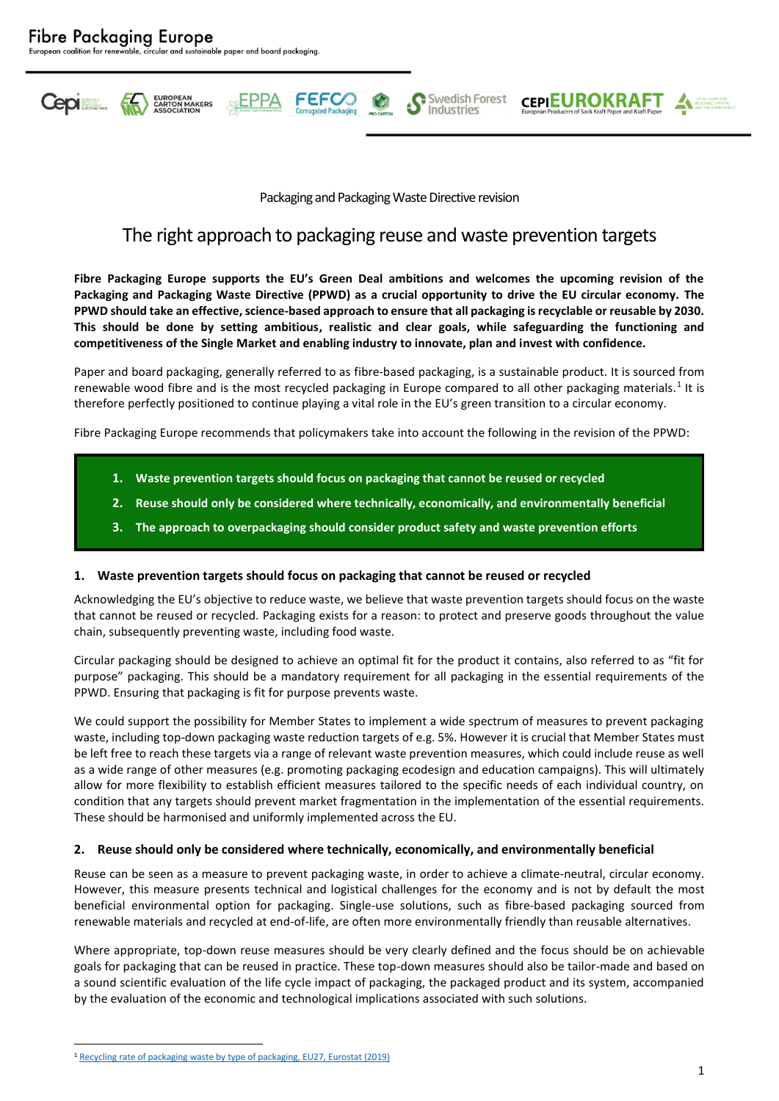

**FEFCC** 

Swedish Forest

Industries

**CEPIEUROKRAFT** 

# The right approach to packaging reuse and waste prevention targets

**Fibre Packaging Europe supports the EU's Green Deal ambitions and welcomes the upcoming revision of the Packaging and Packaging Waste Directive (PPWD) as a crucial opportunity to drive the EU circular economy. The**  PPWD should take an effective, science-based approach to ensure that all packaging is recyclable or reusable by 2030. **This should be done by setting ambitious, realistic and clear goals, while safeguarding the functioning and competitiveness of the Single Market and enabling industry to innovate, plan and invest with confidence.**

Paper and board packaging, generally referred to as fibre-based packaging, is a sustainable product. It is sourced from renewable wood fibre and is the most recycled packaging in Europe compared to all other packaging materials.<sup>1</sup> It is therefore perfectly positioned to continue playing a vital role in the EU's green transition to a circular economy.

Fibre Packaging Europe recommends that policymakers take into account the following in the revision of the PPWD:

- **1. Waste prevention targets should focus on packaging that cannot be reused or recycled**
- **2. Reuse should only be considered where technically, economically, and environmentally beneficial**
- **3. The approach to overpackaging should consider product safety and waste prevention efforts**

### **1. Waste prevention targets should focus on packaging that cannot be reused or recycled**

Acknowledging the EU's objective to reduce waste, we believe that waste prevention targets should focus on the waste that cannot be reused or recycled. Packaging exists for a reason: to protect and preserve goods throughout the value chain, subsequently preventing waste, including food waste.

Circular packaging should be designed to achieve an optimal fit for the product it contains, also referred to as "fit for purpose" packaging. This should be a mandatory requirement for all packaging in the essential requirements of the PPWD. Ensuring that packaging is fit for purpose prevents waste.

We could support the possibility for Member States to implement a wide spectrum of measures to prevent packaging waste, including top-down packaging waste reduction targets of e.g. 5%. However it is crucial that Member States must be left free to reach these targets via a range of relevant waste prevention measures, which could include reuse as well as a wide range of other measures (e.g. promoting packaging ecodesign and education campaigns). This will ultimately allow for more flexibility to establish efficient measures tailored to the specific needs of each individual country, on condition that any targets should prevent market fragmentation in the implementation of the essential requirements. These should be harmonised and uniformly implemented across the EU.

#### **2. Reuse should only be considered where technically, economically, and environmentally beneficial**

Reuse can be seen as a measure to prevent packaging waste, in order to achieve a climate-neutral, circular economy. However, this measure presents technical and logistical challenges for the economy and is not by default the most beneficial environmental option for packaging. Single-use solutions, such as fibre-based packaging sourced from renewable materials and recycled at end-of-life, are often more environmentally friendly than reusable alternatives.

Where appropriate, top-down reuse measures should be very clearly defined and the focus should be on achievable goals for packaging that can be reused in practice. These top-down measures should also be tailor-made and based on a sound scientific evaluation of the life cycle impact of packaging, the packaged product and its system, accompanied by the evaluation of the economic and technological implications associated with such solutions.

<sup>1</sup> [Recycling rate of packaging waste by type of packaging, EU27, Eurostat \(2019\)](https://ec.europa.eu/eurostat/databrowser/view/ENV_WASPACR__custom_1717115/bookmark/table?lang=en&bookmarkId=d73804e4-e7d8-464d-9d5d-c9f1019d3fcf)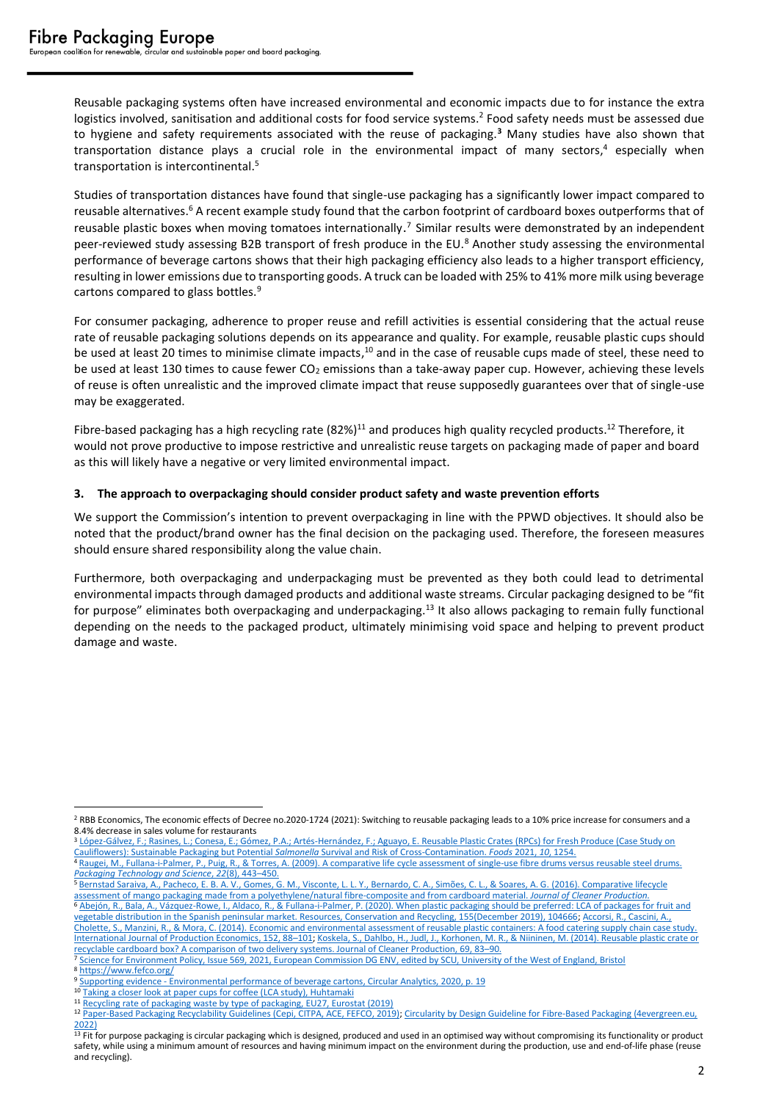Reusable packaging systems often have increased environmental and economic impacts due to for instance the extra logistics involved, sanitisation and additional costs for food service systems.<sup>2</sup> Food safety needs must be assessed due to hygiene and safety requirements associated with the reuse of packaging.**<sup>3</sup>** Many studies have also shown that transportation distance plays a crucial role in the environmental impact of many sectors, <sup>4</sup> especially when transportation is intercontinental. 5

Studies of transportation distances have found that single-use packaging has a significantly lower impact compared to reusable alternatives.<sup>6</sup> A recent example study found that the carbon footprint of cardboard boxes outperforms that of reusable plastic boxes when moving tomatoes internationally.<sup>7</sup> Similar results were demonstrated by an independent peer-reviewed study assessing B2B transport of fresh produce in the EU.<sup>8</sup> Another study assessing the environmental performance of beverage cartons shows that their high packaging efficiency also leads to a higher transport efficiency, resulting in lower emissions due to transporting goods. A truck can be loaded with 25% to 41% more milk using beverage cartons compared to glass bottles.<sup>9</sup>

For consumer packaging, adherence to proper reuse and refill activities is essential considering that the actual reuse rate of reusable packaging solutions depends on its appearance and quality. For example, reusable plastic cups should be used at least 20 times to minimise climate impacts,<sup>10</sup> and in the case of reusable cups made of steel, these need to be used at least 130 times to cause fewer CO<sub>2</sub> emissions than a take-away paper cup. However, achieving these levels of reuse is often unrealistic and the improved climate impact that reuse supposedly guarantees over that of single-use may be exaggerated.

Fibre-based packaging has a high recycling rate  $(82%)^{11}$  and produces high quality recycled products.<sup>12</sup> Therefore, it would not prove productive to impose restrictive and unrealistic reuse targets on packaging made of paper and board as this will likely have a negative or very limited environmental impact.

## **3. The approach to overpackaging should consider product safety and waste prevention efforts**

We support the Commission's intention to prevent overpackaging in line with the PPWD objectives. It should also be noted that the product/brand owner has the final decision on the packaging used. Therefore, the foreseen measures should ensure shared responsibility along the value chain.

Furthermore, both overpackaging and underpackaging must be prevented as they both could lead to detrimental environmental impacts through damaged products and additional waste streams. Circular packaging designed to be "fit for purpose" eliminates both overpackaging and underpackaging.<sup>13</sup> It also allows packaging to remain fully functional depending on the needs to the packaged product, ultimately minimising void space and helping to prevent product damage and waste.

<sup>3</sup> López-Gálvez, F.; Rasines, L.; Conesa, E.; Gómez, P.A.; Artés-Hernández, F.; Aguayo, E. Reusable Plastic Crates (RPCs) for Fresh Produce (Case Study on [Cauliflowers\): Sustainable Packaging but Potential](https://doi.org/10.3390/foods10061254) *Salmonella* Survival and Risk of Cross-Contamination. *Foods* 2021, *10*, 1254.

<sup>5</sup> [Bernstad Saraiva, A., Pacheco, E. B. A. V., Gomes, G. M., Visconte, L. L. Y., Bernardo, C. A., Simões, C. L., & Soares, A. G.](https://doi.org/10.1016/j.jclepro.2016.08.135) (2016). Comparative lifecycle [assessment of mango packaging made from a polyethylene/natural fibre-composite and from cardboard material.](https://doi.org/10.1016/j.jclepro.2016.08.135) *Journal of Cleaner Production.*

<sup>&</sup>lt;sup>2</sup> RBB Economics, The economic effects of Decree no.2020-1724 (2021): Switching to reusable packaging leads to a 10% price increase for consumers and a 8.4% decrease in sales volume for restaurants

<sup>4</sup> [Raugei, M., Fullana-i-Palmer, P., Puig, R., & Torres, A. \(2009\). A comparative life cycle assessment of single-use fibre drums versus reusable steel drums.](https://doi.org/10.1002/pts.865)  *[Packaging Technology and Science](https://doi.org/10.1002/pts.865)*, *22*(8), 443–450.

<sup>6</sup> [Abejón, R., Bala, A., Vázquez-Rowe, I., Aldaco, R., & Fullana-i-Palmer, P. \(2020\). When plastic packaging should be preferred: LCA](https://doi.org/10.1016/j.resconrec.2019.104666) of packages for fruit and [vegetable distribution in the Spanish peninsular market. Resources, Conservation and Recycling, 155\(December 2019\), 104666;](https://doi.org/10.1016/j.resconrec.2019.104666) [Accorsi, R., Cascini, A.,](https://doi.org/10.1016/j.ijpe.2013.12.014)  [Cholette, S., Manzini, R., & Mora, C. \(2014\). Economic and environmental assessment of reusable plastic containers: A food catering supply chain case study.](https://doi.org/10.1016/j.ijpe.2013.12.014)  [International Journal of Production Economics, 152, 88](https://doi.org/10.1016/j.ijpe.2013.12.014)–101[; Koskela, S., Dahlbo, H., Judl, J., Korhonen, M. R., & Niininen, M. \(2014\). Reusable plastic crate or](https://doi.org/10.1016/j.jclepro.2014.01.045) 

[recyclable cardboard box? A comparison of two delivery systems. Journal of Cleaner Production, 69, 83](https://doi.org/10.1016/j.jclepro.2014.01.045)–90. <sup>7</sup> [Science for Environment Policy, Issue 569, 2021, European Commission DG ENV, edited by SCU, University of the West of England, Bristol](https://ec.europa.eu/environment/integration/research/newsalert/pdf/569na1_en-1313_lca-of-agricultural-tomato-packaging-boxes-for-climate-impact_v2.pdf)

<sup>8</sup> <https://www.fefco.org/>

<sup>9</sup> Supporting evidence - [Environmental performance of beverage cartons, Circular Analytics, 2020, p. 19](https://www.beveragecarton.eu/wp-content/uploads/2021/03/20-011-Circular-Analytics_ACE-Full-report_2021-03-11.pdf)

<sup>&</sup>lt;sup>10</sup> [Taking a closer look at paper cups for coffee \(LCA study\), Huhtamaki](https://www.huhtamaki.com/globalassets/global/highlights/responsibility/taking-a-closer-look-at-paper-cups-for-coffee.pdf)

<sup>11</sup> [Recycling rate of packaging waste by type of packaging, EU27, Eurostat \(2019\)](https://ec.europa.eu/eurostat/databrowser/view/ENV_WASPACR__custom_1717115/bookmark/table?lang=en&bookmarkId=d73804e4-e7d8-464d-9d5d-c9f1019d3fcf) <sup>12</sup> [Paper-Based Packaging Recyclability Guidelines \(Cepi, CITPA, ACE, FEFCO, 2019\);](https://www.cepi.org/wp-content/uploads/2020/10/Cepi_recyclability-guidelines.pdf) [Circularity by Design Guideline for Fibre-Based Packaging](https://4evergreenforum.eu/wp-content/uploads/4evergreen-Circularity-by-Design-2.pdf) (4evergreen.eu, [2022\)](https://4evergreenforum.eu/wp-content/uploads/4evergreen-Circularity-by-Design-2.pdf)

 $\frac{13}{13}$  Fit for purpose packaging is circular packaging which is designed, produced and used in an optimised way without compromising its functionality or product safety, while using a minimum amount of resources and having minimum impact on the environment during the production, use and end-of-life phase (reuse and recycling).